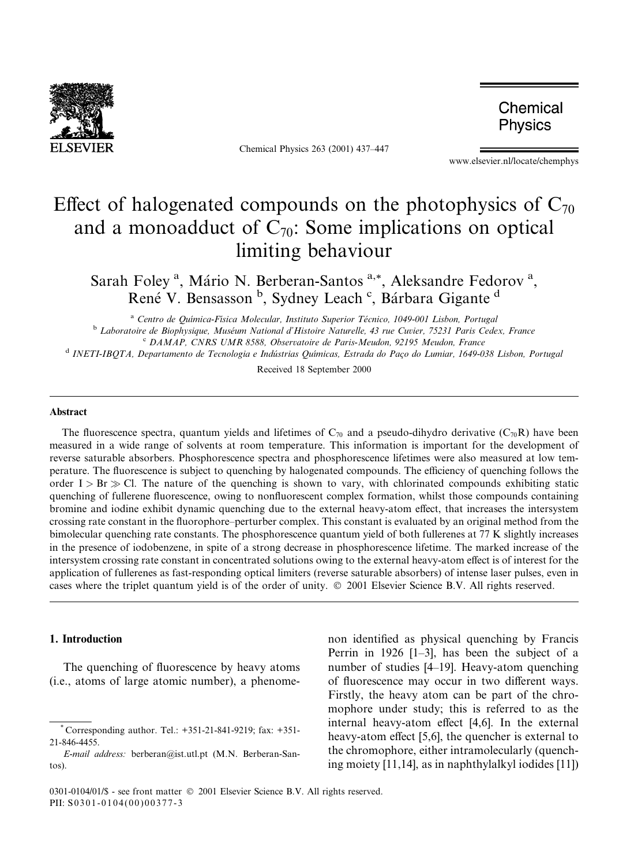

Chemical Physics 263 (2001) 437-447

Chemical Physics

www.elsevier.nl/locate/chemphys

# Effect of halogenated compounds on the photophysics of  $C_{70}$ and a monoadduct of  $C_{70}$ : Some implications on optical limiting behaviour

Sarah Foley<sup>a</sup>, Mário N. Berberan-Santos<sup>a,\*</sup>, Aleksandre Fedorov<sup>a</sup>, René V. Bensasson <sup>b</sup>, Sydney Leach <sup>c</sup>, Bárbara Gigante <sup>d</sup>

<sup>a</sup> Centro de Química-Física Molecular, Instituto Superior Técnico, 1049-001 Lisbon, Portugal<br><sup>b</sup> Laboratoire de Biophysique, Muséum National d'Histoire Naturelle, 43 rue Cuvier, 75231 Paris Cedex, France<br><sup>c</sup> DAMAP, CNRS U

Received 18 September 2000

#### Abstract

The fluorescence spectra, quantum yields and lifetimes of  $C_{70}$  and a pseudo-dihydro derivative ( $C_{70}R$ ) have been measured in a wide range of solvents at room temperature. This information is important for the development of reverse saturable absorbers. Phosphorescence spectra and phosphorescence lifetimes were also measured at low temperature. The fluorescence is subject to quenching by halogenated compounds. The efficiency of quenching follows the order I > Br  $\gg$  Cl. The nature of the quenching is shown to vary, with chlorinated compounds exhibiting static quenching of fullerene fluorescence, owing to nonfluorescent complex formation, whilst those compounds containing bromine and iodine exhibit dynamic quenching due to the external heavy-atom effect, that increases the intersystem crossing rate constant in the fluorophore–perturber complex. This constant is evaluated by an original method from the bimolecular quenching rate constants. The phosphorescence quantum yield of both fullerenes at 77 K slightly increases in the presence of iodobenzene, in spite of a strong decrease in phosphorescence lifetime. The marked increase of the intersystem crossing rate constant in concentrated solutions owing to the external heavy-atom effect is of interest for the application of fullerenes as fast-responding optical limiters (reverse saturable absorbers) of intense laser pulses, even in cases where the triplet quantum yield is of the order of unity.  $\odot$  2001 Elsevier Science B.V. All rights reserved.

# 1. Introduction

The quenching of fluorescence by heavy atoms (i.e., atoms of large atomic number), a phenomenon identified as physical quenching by Francis Perrin in 1926  $[1-3]$ , has been the subject of a number of studies [4-19]. Heavy-atom quenching of fluorescence may occur in two different ways. Firstly, the heavy atom can be part of the chromophore under study; this is referred to as the internal heavy-atom effect  $[4,6]$ . In the external heavy-atom effect  $[5,6]$ , the quencher is external to the chromophore, either intramolecularly (quenching moiety [11,14], as in naphthylalkyl iodides [11])

Corresponding author. Tel.: +351-21-841-9219; fax: +351-21-846-4455.

E-mail address: berberan@ist.utl.pt (M.N. Berberan-Santos).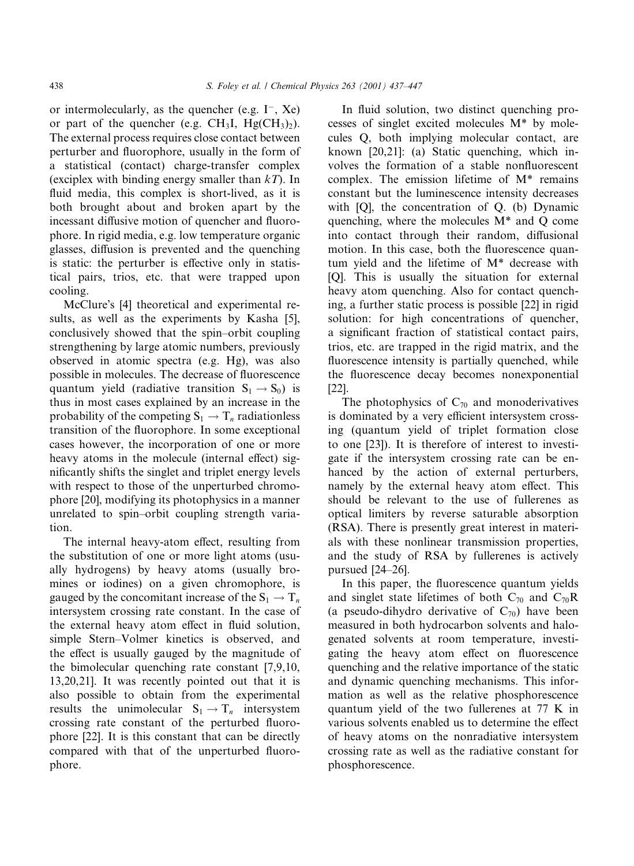or intermolecularly, as the quencher (e.g.  $I^-, Xe$ ) or part of the quencher (e.g.  $CH_3I$ ,  $Hg(CH_3)_2$ ). The external process requires close contact between perturber and fluorophore, usually in the form of a statistical (contact) charge-transfer complex (exciplex with binding energy smaller than  $kT$ ). In fluid media, this complex is short-lived, as it is both brought about and broken apart by the incessant diffusive motion of quencher and fluorophore. In rigid media, e.g. low temperature organic glasses, diffusion is prevented and the quenching is static: the perturber is effective only in statistical pairs, trios, etc. that were trapped upon cooling.

McClure's [4] theoretical and experimental results, as well as the experiments by Kasha [5], conclusively showed that the spin-orbit coupling strengthening by large atomic numbers, previously observed in atomic spectra (e.g. Hg), was also possible in molecules. The decrease of fluorescence quantum yield (radiative transition  $S_1 \rightarrow S_0$ ) is thus in most cases explained by an increase in the probability of the competing  $S_1 \rightarrow T_n$  radiationless transition of the fluorophore. In some exceptional cases however, the incorporation of one or more heavy atoms in the molecule (internal effect) significantly shifts the singlet and triplet energy levels with respect to those of the unperturbed chromophore [20], modifying its photophysics in a manner unrelated to spin-orbit coupling strength variation.

The internal heavy-atom effect, resulting from the substitution of one or more light atoms (usually hydrogens) by heavy atoms (usually bromines or iodines) on a given chromophore, is gauged by the concomitant increase of the  $S_1 \rightarrow T_n$ intersystem crossing rate constant. In the case of the external heavy atom effect in fluid solution, simple Stern-Volmer kinetics is observed, and the effect is usually gauged by the magnitude of the bimolecular quenching rate constant [7,9,10, 13,20,21]. It was recently pointed out that it is also possible to obtain from the experimental results the unimolecular  $S_1 \rightarrow T_n$  intersystem crossing rate constant of the perturbed fluorophore [22]. It is this constant that can be directly compared with that of the unperturbed fluorophore.

In fluid solution, two distinct quenching processes of singlet excited molecules M\* by molecules Q, both implying molecular contact, are known [20,21]: (a) Static quenching, which involves the formation of a stable nonfluorescent complex. The emission lifetime of M\* remains constant but the luminescence intensity decreases with [Q], the concentration of Q. (b) Dynamic quenching, where the molecules M\* and Q come into contact through their random, diffusional motion. In this case, both the fluorescence quantum yield and the lifetime of M\* decrease with [Q]. This is usually the situation for external heavy atom quenching. Also for contact quenching, a further static process is possible [22] in rigid solution: for high concentrations of quencher, a significant fraction of statistical contact pairs, trios, etc. are trapped in the rigid matrix, and the fluorescence intensity is partially quenched, while the fluorescence decay becomes nonexponential [22].

The photophysics of  $C_{70}$  and monoderivatives is dominated by a very efficient intersystem crossing (quantum yield of triplet formation close to one [23]). It is therefore of interest to investigate if the intersystem crossing rate can be enhanced by the action of external perturbers, namely by the external heavy atom effect. This should be relevant to the use of fullerenes as optical limiters by reverse saturable absorption (RSA). There is presently great interest in materials with these nonlinear transmission properties, and the study of RSA by fullerenes is actively pursued  $[24–26]$ .

In this paper, the fluorescence quantum yields and singlet state lifetimes of both  $C_{70}$  and  $C_{70}R$ (a pseudo-dihydro derivative of  $C_{70}$ ) have been measured in both hydrocarbon solvents and halogenated solvents at room temperature, investigating the heavy atom effect on fluorescence quenching and the relative importance of the static and dynamic quenching mechanisms. This information as well as the relative phosphorescence quantum yield of the two fullerenes at 77 K in various solvents enabled us to determine the effect of heavy atoms on the nonradiative intersystem crossing rate as well as the radiative constant for phosphorescence.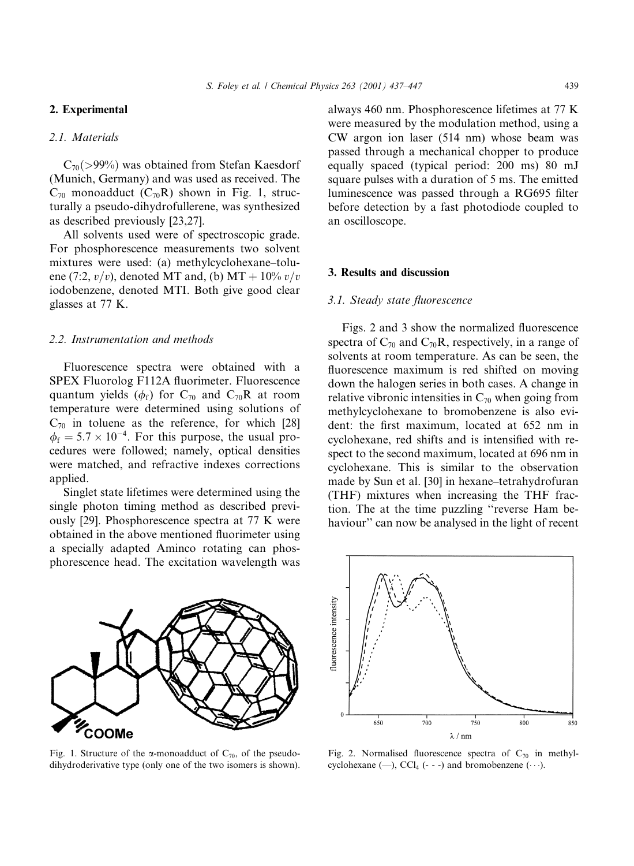#### 2. Experimental

# 2.1. Materials

 $C_{70}(>99\%)$  was obtained from Stefan Kaesdorf (Munich, Germany) and was used as received. The  $C_{70}$  monoadduct  $(C_{70}R)$  shown in Fig. 1, structurally a pseudo-dihydrofullerene, was synthesized as described previously [23,27].

All solvents used were of spectroscopic grade. For phosphorescence measurements two solvent mixtures were used: (a) methylcyclohexane-toluene (7:2,  $v/v$ ), denoted MT and, (b) MT + 10%  $v/v$ iodobenzene, denoted MTI. Both give good clear glasses at 77 K.

#### 2.2. Instrumentation and methods

Fluorescence spectra were obtained with a SPEX Fluorolog F112A fluorimeter. Fluorescence quantum yields ( $\phi_f$ ) for C<sub>70</sub> and C<sub>70</sub>R at room temperature were determined using solutions of  $C_{70}$  in toluene as the reference, for which [28]  $\phi_f = 5.7 \times 10^{-4}$ . For this purpose, the usual procedures were followed; namely, optical densities were matched, and refractive indexes corrections applied.

Singlet state lifetimes were determined using the single photon timing method as described previously [29]. Phosphorescence spectra at 77 K were obtained in the above mentioned fluorimeter using a specially adapted Aminco rotating can phosphorescence head. The excitation wavelength was

COOMe

Fig. 1. Structure of the  $\alpha$ -monoadduct of  $C_{70}$ , of the pseudodihydroderivative type (only one of the two isomers is shown). always 460 nm. Phosphorescence lifetimes at 77 K were measured by the modulation method, using a CW argon ion laser (514 nm) whose beam was passed through a mechanical chopper to produce equally spaced (typical period: 200 ms) 80 mJ square pulses with a duration of 5 ms. The emitted luminescence was passed through a RG695 filter before detection by a fast photodiode coupled to an oscilloscope.

# 3. Results and discussion

# 3.1. Steady state fluorescence

Figs. 2 and 3 show the normalized fluorescence spectra of  $C_{70}$  and  $C_{70}$ R, respectively, in a range of solvents at room temperature. As can be seen, the fluorescence maximum is red shifted on moving down the halogen series in both cases. A change in relative vibronic intensities in  $C_{70}$  when going from methylcyclohexane to bromobenzene is also evident: the first maximum, located at 652 nm in cyclohexane, red shifts and is intensified with respect to the second maximum, located at 696 nm in cyclohexane. This is similar to the observation made by Sun et al. [30] in hexane-tetrahydrofuran (THF) mixtures when increasing the THF fraction. The at the time puzzling "reverse Ham behaviour'' can now be analysed in the light of recent



Fig. 2. Normalised fluorescence spectra of  $C_{70}$  in methylcyclohexane ( $-$ ), CCl<sub>4</sub> (- - -) and bromobenzene ( $\cdots$ ).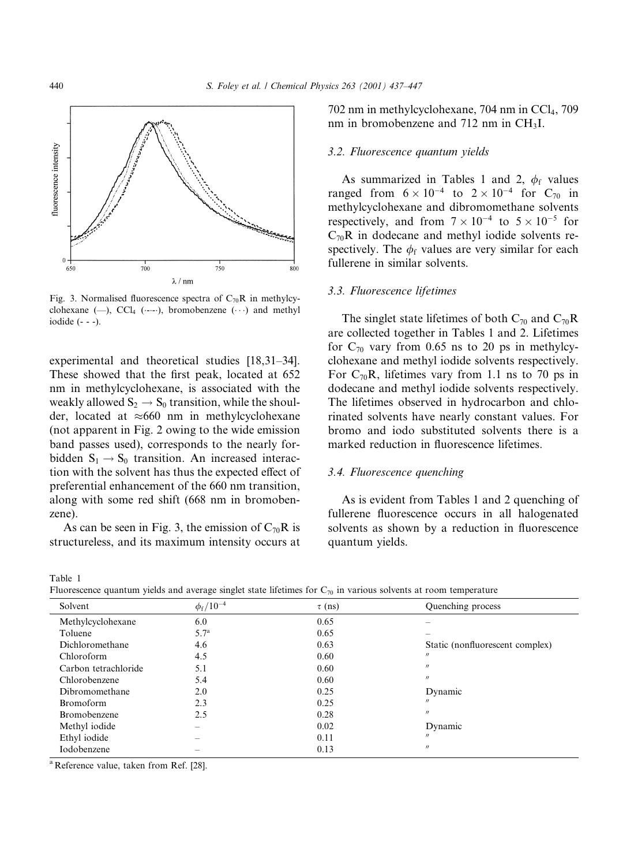

Fig. 3. Normalised fluorescence spectra of  $C_{70}R$  in methylcyclohexane  $(-),$  CCl<sub>4</sub>  $(\cdots)$ , bromobenzene  $(\cdots)$  and methyl iodide (- - -).

experimental and theoretical studies  $[18,31-34]$ . These showed that the first peak, located at 652 nm in methylcyclohexane, is associated with the weakly allowed  $S_2 \rightarrow S_0$  transition, while the shoulder, located at  $\approx 660$  nm in methylcyclohexane (not apparent in Fig. 2 owing to the wide emission band passes used), corresponds to the nearly forbidden  $S_1 \rightarrow S_0$  transition. An increased interaction with the solvent has thus the expected effect of preferential enhancement of the 660 nm transition, along with some red shift (668 nm in bromobenzene).

As can be seen in Fig. 3, the emission of  $C_{70}R$  is structureless, and its maximum intensity occurs at

 $702$  nm in methylcyclohexane,  $704$  nm in CCl<sub>4</sub>,  $709$ nm in bromobenzene and 712 nm in CH3I.

#### 3.2. Fluorescence quantum yields

As summarized in Tables 1 and 2,  $\phi_f$  values ranged from  $6 \times 10^{-4}$  to  $2 \times 10^{-4}$  for C<sub>70</sub> in methylcyclohexane and dibromomethane solvents respectively, and from  $7 \times 10^{-4}$  to  $5 \times 10^{-5}$  for  $C_{70}R$  in dodecane and methyl iodide solvents respectively. The  $\phi_f$  values are very similar for each fullerene in similar solvents.

## 3.3. Fluorescence lifetimes

The singlet state lifetimes of both  $C_{70}$  and  $C_{70}R$ are collected together in Tables 1 and 2. Lifetimes for  $C_{70}$  vary from 0.65 ns to 20 ps in methylcyclohexane and methyl iodide solvents respectively. For  $C_{70}R$ , lifetimes vary from 1.1 ns to 70 ps in dodecane and methyl iodide solvents respectively. The lifetimes observed in hydrocarbon and chlorinated solvents have nearly constant values. For bromo and iodo substituted solvents there is a marked reduction in fluorescence lifetimes.

# 3.4. Fluorescence quenching

As is evident from Tables 1 and 2 quenching of fullerene fluorescence occurs in all halogenated solvents as shown by a reduction in fluorescence quantum yields.

Fluorescence quantum yields and average singlet state lifetimes for  $C_{70}$  in various solvents at room temperature

| Solvent              | $\phi_{\rm f} / 10^{-4}$ | $\tau$ (ns) | Quenching process               |
|----------------------|--------------------------|-------------|---------------------------------|
| Methylcyclohexane    | 6.0                      | 0.65        |                                 |
| Toluene              | 5.7 <sup>a</sup>         | 0.65        |                                 |
| Dichloromethane      | 4.6                      | 0.63        | Static (nonfluorescent complex) |
| Chloroform           | 4.5                      | 0.60        | $^{\prime\prime}$               |
| Carbon tetrachloride | 5.1                      | 0.60        | $^{\prime\prime}$               |
| Chlorobenzene        | 5.4                      | 0.60        | $^{\prime\prime}$               |
| Dibromomethane       | 2.0                      | 0.25        | Dynamic                         |
| Bromoform            | 2.3                      | 0.25        | $^{\prime\prime}$               |
| Bromobenzene         | 2.5                      | 0.28        | $^{\prime\prime}$               |
| Methyl iodide        | $\overline{\phantom{a}}$ | 0.02        | Dynamic                         |
| Ethyl iodide         |                          | 0.11        | $^{\prime\prime}$               |
| Iodobenzene          |                          | 0.13        | $^{\prime\prime}$               |
|                      |                          |             |                                 |

<sup>a</sup> Reference value, taken from Ref. [28].

Table 1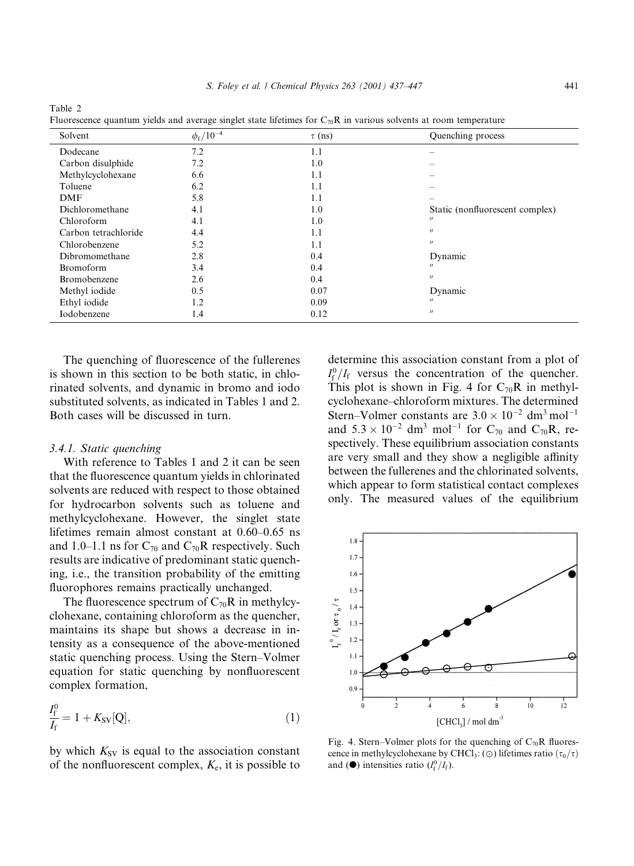| Solvent              | $\phi_{\rm f}$ /10 <sup>-4</sup> | $\tau$ (ns) | Quenching process               |
|----------------------|----------------------------------|-------------|---------------------------------|
| Dodecane             | 7.2                              | 1.1         |                                 |
| Carbon disulphide    | 7.2                              | 1.0         |                                 |
| Methylcyclohexane    | 6.6                              | 1.1         |                                 |
| Toluene              | 6.2                              | 1.1         |                                 |
| DMF                  | 5.8                              | 1.1         |                                 |
| Dichloromethane      | 4.1                              | 1.0         | Static (nonfluorescent complex) |
| Chloroform           | 4.1                              | 1.0         | $^{\prime\prime}$               |
| Carbon tetrachloride | 4.4                              | 1.1         | $^{\prime\prime}$               |
| Chlorobenzene        | 5.2                              | 1.1         | $^{\prime\prime}$               |
| Dibromomethane       | 2.8                              | 0.4         | Dynamic                         |
| <b>Bromoform</b>     | 3.4                              | 0.4         | $^{\prime\prime}$               |
| Bromobenzene         | 2.6                              | 0.4         | $^{\prime\prime}$               |
| Methyl iodide        | 0.5                              | 0.07        | Dynamic                         |
| Ethyl iodide         | 1.2                              | 0.09        | $^{\prime\prime}$               |
| Iodobenzene          | 1.4                              | 0.12        | $^{\prime\prime}$               |
|                      |                                  |             |                                 |

Table 2 ence quantum yields and average singlet state lifetimes for  $C_7R$  in various solvents at room temperature

The quenching of fluorescence of the fullerenes is shown in this section to be both static, in chlorinated solvents, and dynamic in bromo and iodo substituted solvents, as indicated in Tables 1 and 2. Both cases will be discussed in turn.

## 3.4.1. Static quenching

With reference to Tables 1 and 2 it can be seen that the fluorescence quantum yields in chlorinated solvents are reduced with respect to those obtained for hydrocarbon solvents such as toluene and methylcyclohexane. However, the singlet state lifetimes remain almost constant at  $0.60-0.65$  ns and 1.0–1.1 ns for  $C_{70}$  and  $C_{70}$ R respectively. Such results are indicative of predominant static quenching, i.e., the transition probability of the emitting fluorophores remains practically unchanged.

The fluorescence spectrum of  $C_{70}R$  in methylcyclohexane, containing chloroform as the quencher, maintains its shape but shows a decrease in intensity as a consequence of the above-mentioned static quenching process. Using the Stern–Volmer equation for static quenching by nonfluorescent complex formation,

$$
\frac{I_{\rm f}^0}{I_{\rm f}} = 1 + K_{\rm SV}[Q],\tag{1}
$$

by which  $K_{SV}$  is equal to the association constant of the nonfluorescent complex,  $K_e$ , it is possible to determine this association constant from a plot of  $I_f^0/I_f$  versus the concentration of the quencher. This plot is shown in Fig. 4 for  $C_{70}R$  in methylcyclohexane-chloroform mixtures. The determined Stern-Volmer constants are  $3.0 \times 10^{-2}$  dm<sup>3</sup> mol<sup>-1</sup> and  $5.3 \times 10^{-2}$  dm<sup>3</sup> mol<sup>-1</sup> for C<sub>70</sub> and C<sub>70</sub>R, respectively. These equilibrium association constants are very small and they show a negligible affinity between the fullerenes and the chlorinated solvents, which appear to form statistical contact complexes only. The measured values of the equilibrium



Fig. 4. Stern–Volmer plots for the quenching of  $C_{70}R$  fluorescence in methylcyclohexane by CHCl<sub>3</sub>: ( $\odot$ ) lifetimes ratio  $(\tau_0/\tau)$ and ( $\bullet$ ) intensities ratio ( $I_f^0/I_f$ ).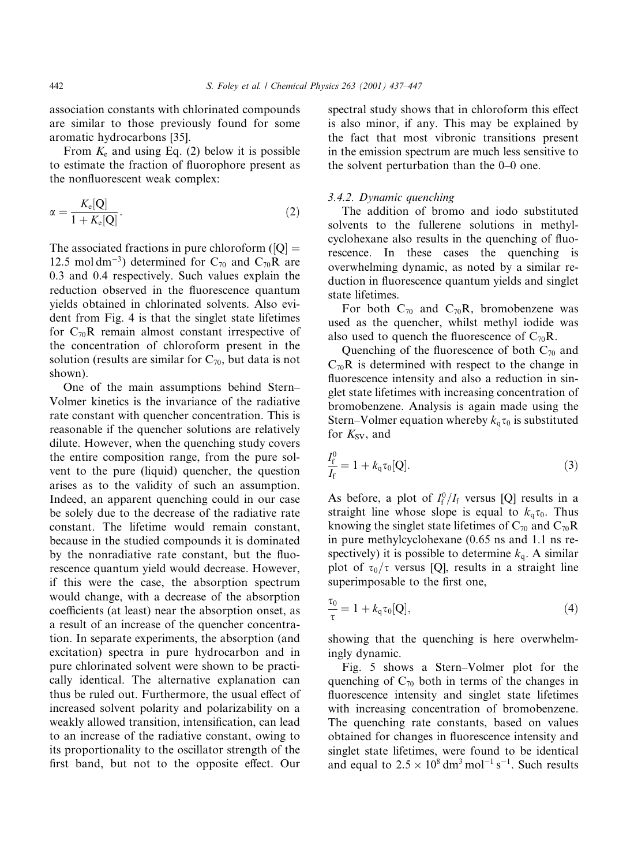association constants with chlorinated compounds are similar to those previously found for some aromatic hydrocarbons [35].

From  $K_e$  and using Eq. (2) below it is possible to estimate the fraction of fluorophore present as the nonfluorescent weak complex:

$$
\alpha = \frac{K_{\rm e}[Q]}{1 + K_{\rm e}[Q]}.\tag{2}
$$

The associated fractions in pure chloroform ( $[Q]$  = 12.5 mol dm<sup>-3</sup>) determined for C<sub>70</sub> and C<sub>70</sub>R are 0.3 and 0.4 respectively. Such values explain the reduction observed in the fluorescence quantum yields obtained in chlorinated solvents. Also evident from Fig. 4 is that the singlet state lifetimes for  $C_{70}R$  remain almost constant irrespective of the concentration of chloroform present in the solution (results are similar for  $C_{70}$ , but data is not shown).

One of the main assumptions behind Stern-Volmer kinetics is the invariance of the radiative rate constant with quencher concentration. This is reasonable if the quencher solutions are relatively dilute. However, when the quenching study covers the entire composition range, from the pure solvent to the pure (liquid) quencher, the question arises as to the validity of such an assumption. Indeed, an apparent quenching could in our case be solely due to the decrease of the radiative rate constant. The lifetime would remain constant, because in the studied compounds it is dominated by the nonradiative rate constant, but the fluorescence quantum yield would decrease. However, if this were the case, the absorption spectrum would change, with a decrease of the absorption coefficients (at least) near the absorption onset, as a result of an increase of the quencher concentration. In separate experiments, the absorption (and excitation) spectra in pure hydrocarbon and in pure chlorinated solvent were shown to be practically identical. The alternative explanation can thus be ruled out. Furthermore, the usual effect of increased solvent polarity and polarizability on a weakly allowed transition, intensification, can lead to an increase of the radiative constant, owing to its proportionality to the oscillator strength of the first band, but not to the opposite effect. Our

spectral study shows that in chloroform this effect is also minor, if any. This may be explained by the fact that most vibronic transitions present in the emission spectrum are much less sensitive to the solvent perturbation than the  $0-0$  one.

# 3.4.2. Dynamic quenching

The addition of bromo and iodo substituted solvents to the fullerene solutions in methylcyclohexane also results in the quenching of fluorescence. In these cases the quenching is overwhelming dynamic, as noted by a similar reduction in fluorescence quantum yields and singlet state lifetimes.

For both  $C_{70}$  and  $C_{70}R$ , bromobenzene was used as the quencher, whilst methyl iodide was also used to quench the fluorescence of  $C_{70}R$ .

Quenching of the fluorescence of both  $C_{70}$  and  $C_{70}R$  is determined with respect to the change in fluorescence intensity and also a reduction in singlet state lifetimes with increasing concentration of bromobenzene. Analysis is again made using the Stern–Volmer equation whereby  $k<sub>a</sub> \tau<sub>0</sub>$  is substituted for  $K_{SV}$ , and

$$
\frac{I_{\rm f}^0}{I_{\rm f}} = 1 + k_{\rm q} \tau_0 [\mathbf{Q}]. \tag{3}
$$

As before, a plot of  $I_f^0/I_f$  versus [Q] results in a straight line whose slope is equal to  $k_{\alpha}\tau_0$ . Thus knowing the singlet state lifetimes of  $C_{70}$  and  $C_{70}R$ in pure methylcyclohexane (0.65 ns and 1.1 ns respectively) it is possible to determine  $k<sub>q</sub>$ . A similar plot of  $\tau_0/\tau$  versus [Q], results in a straight line superimposable to the first one,

$$
\frac{\tau_0}{\tau} = 1 + k_q \tau_0 [Q], \qquad (4)
$$

showing that the quenching is here overwhelmingly dynamic.

Fig. 5 shows a Stern-Volmer plot for the quenching of  $C_{70}$  both in terms of the changes in fluorescence intensity and singlet state lifetimes with increasing concentration of bromobenzene. The quenching rate constants, based on values obtained for changes in fluorescence intensity and singlet state lifetimes, were found to be identical and equal to  $2.5 \times 10^8 \text{ dm}^3 \text{ mol}^{-1} \text{ s}^{-1}$ . Such results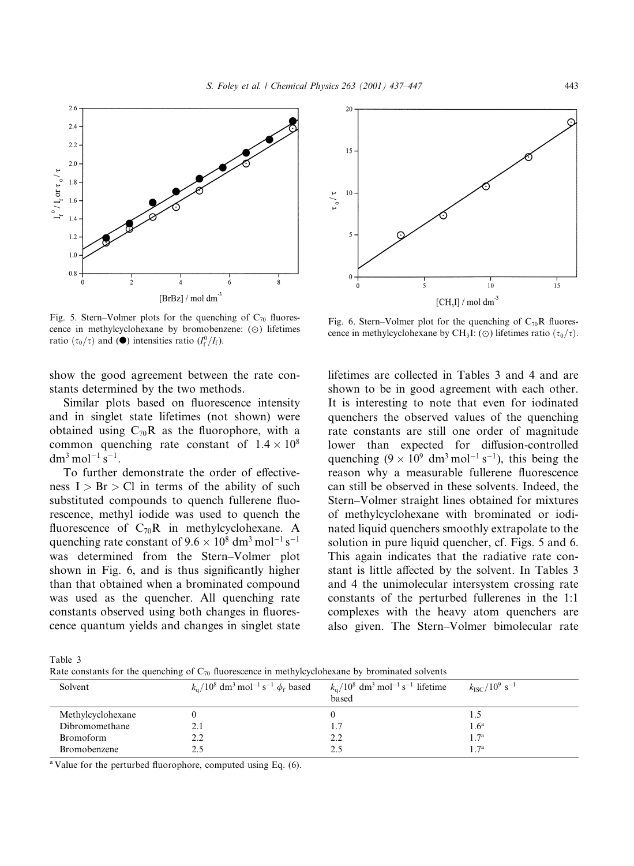

Fig. 5. Stern–Volmer plots for the quenching of  $C_{70}$  fluorescence in methylcyclohexane by bromobenzene:  $(\odot)$  lifetimes ratio  $(\tau_0/\tau)$  and  $(\bullet)$  intensities ratio  $(I_f^0/I_f)$ .

show the good agreement between the rate constants determined by the two methods.

Similar plots based on fluorescence intensity and in singlet state lifetimes (not shown) were obtained using  $C_{70}R$  as the fluorophore, with a common quenching rate constant of  $1.4 \times 10^8$  $dm^3$  mol<sup>-1</sup> s<sup>-1</sup>.

To further demonstrate the order of effectiveness  $I > Br > Cl$  in terms of the ability of such substituted compounds to quench fullerene fluorescence, methyl iodide was used to quench the fluorescence of  $C_{70}R$  in methylcyclohexane. A quenching rate constant of  $9.6 \times 10^8$  dm<sup>3</sup> mol<sup>-1</sup> s<sup>-1</sup> was determined from the Stern-Volmer plot shown in Fig. 6, and is thus significantly higher than that obtained when a brominated compound was used as the quencher. All quenching rate constants observed using both changes in fluorescence quantum yields and changes in singlet state



Fig. 6. Stern-Volmer plot for the quenching of  $C_{70}R$  fluorescence in methylcyclohexane by CH<sub>3</sub>I: ( $\odot$ ) lifetimes ratio  $(\tau_0/\tau)$ .

lifetimes are collected in Tables 3 and 4 and are shown to be in good agreement with each other. It is interesting to note that even for iodinated quenchers the observed values of the quenching rate constants are still one order of magnitude lower than expected for diffusion-controlled quenching  $(9 \times 10^9 \text{ dm}^3 \text{ mol}^{-1} \text{ s}^{-1})$ , this being the reason why a measurable fullerene fluorescence can still be observed in these solvents. Indeed, the Stern-Volmer straight lines obtained for mixtures of methylcyclohexane with brominated or iodinated liquid quenchers smoothly extrapolate to the solution in pure liquid quencher, cf. Figs. 5 and 6. This again indicates that the radiative rate constant is little affected by the solvent. In Tables 3 and 4 the unimolecular intersystem crossing rate constants of the perturbed fullerenes in the 1:1 complexes with the heavy atom quenchers are also given. The Stern-Volmer bimolecular rate

Table 3

Rate constants for the quenching of  $C_{70}$  fluorescence in methylcyclohexane by brominated solvents

| Solvent           | $k_{\rm g}$ /10 <sup>8</sup> dm <sup>3</sup> mol <sup>-1</sup> s <sup>-1</sup> $\phi_{\rm f}$ based | $k_{\rm g}/10^8$ dm <sup>3</sup> mol <sup>-1</sup> s <sup>-1</sup> lifetime<br>based | $k_{\rm{ISC}} / 10^9$ s <sup>-1</sup> |
|-------------------|-----------------------------------------------------------------------------------------------------|--------------------------------------------------------------------------------------|---------------------------------------|
| Methylcyclohexane |                                                                                                     |                                                                                      |                                       |
| Dibromomethane    | 2.1                                                                                                 | 1.7                                                                                  | 1.6 <sup>a</sup>                      |
| <b>Bromoform</b>  | 2.2                                                                                                 | 2.2                                                                                  | 1.7 <sup>a</sup>                      |
| Bromobenzene      |                                                                                                     | 2.5                                                                                  | 1.7 <sup>a</sup>                      |

<sup>a</sup> Value for the perturbed fluorophore, computed using Eq.  $(6)$ .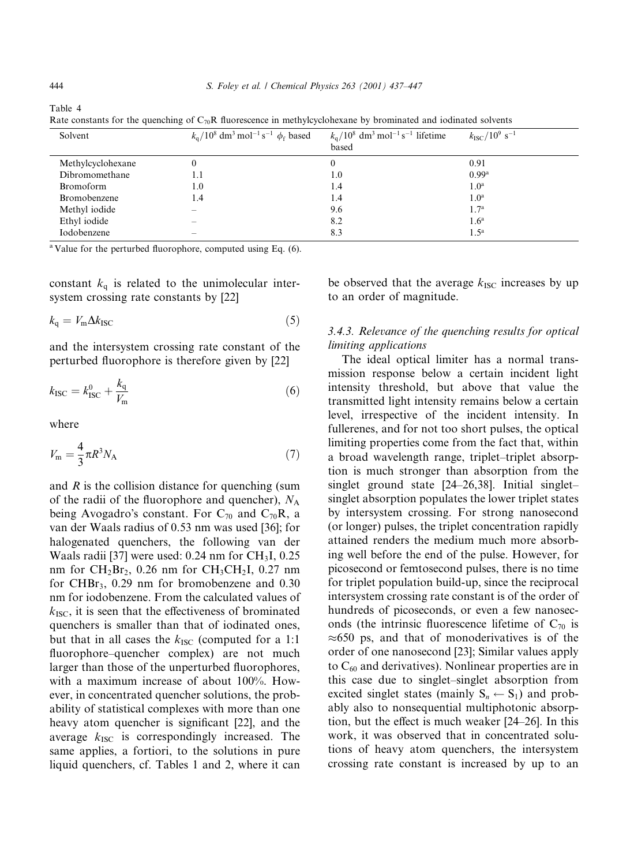Table 4

Rate constants for the quenching of  $C_{70}R$  fluorescence in methylcyclohexane by brominated and iodinated solvents

| Solvent           | $k_q/10^8$ dm <sup>3</sup> mol <sup>-1</sup> s <sup>-1</sup> $\phi_f$ based | $k_q/10^8$ dm <sup>3</sup> mol <sup>-1</sup> s <sup>-1</sup> lifetime<br>based | $k_{\rm{ISC}} / 10^9 \text{ s}^{-1}$ |
|-------------------|-----------------------------------------------------------------------------|--------------------------------------------------------------------------------|--------------------------------------|
| Methylcyclohexane | 0                                                                           | $\theta$                                                                       | 0.91                                 |
| Dibromomethane    | 1.1                                                                         | 1.0                                                                            | 0.99a                                |
| <b>Bromoform</b>  | 1.0                                                                         | 1.4                                                                            | 1.0 <sup>a</sup>                     |
| Bromobenzene      | 1.4                                                                         | 1.4                                                                            | 1.0 <sup>a</sup>                     |
| Methyl iodide     | $\overline{\phantom{a}}$                                                    | 9.6                                                                            | 1.7 <sup>a</sup>                     |
| Ethyl iodide      | $\hspace{0.05cm}$                                                           | 8.2                                                                            | 1.6 <sup>a</sup>                     |
| Iodobenzene       | $\overline{\phantom{a}}$                                                    | 8.3                                                                            | 1.5 <sup>a</sup>                     |

<sup>a</sup> Value for the perturbed fluorophore, computed using Eq.  $(6)$ .

constant  $k_q$  is related to the unimolecular intersystem crossing rate constants by [22]

$$
k_{\rm q} = V_{\rm m} \Delta k_{\rm ISC} \tag{5}
$$

and the intersystem crossing rate constant of the perturbed fluorophore is therefore given by [22]

$$
k_{\rm{ISC}} = k_{\rm{ISC}}^0 + \frac{k_{\rm{q}}}{V_{\rm{m}}} \tag{6}
$$

where

$$
V_{\rm m} = \frac{4}{3}\pi R^3 N_{\rm A} \tag{7}
$$

and  $R$  is the collision distance for quenching (sum of the radii of the fluorophore and quencher),  $N_A$ being Avogadro's constant. For  $C_{70}$  and  $C_{70}R$ , a van der Waals radius of 0.53 nm was used [36]; for halogenated quenchers, the following van der Waals radii [37] were used:  $0.24$  nm for CH<sub>3</sub>I,  $0.25$ nm for  $CH_2Br_2$ , 0.26 nm for  $CH_3CH_2I$ , 0.27 nm for CHB $r_3$ , 0.29 nm for bromobenzene and 0.30 nm for iodobenzene. From the calculated values of  $k_{\text{ISC}}$ , it is seen that the effectiveness of brominated quenchers is smaller than that of iodinated ones, but that in all cases the  $k_{\text{ISC}}$  (computed for a 1:1 fluorophore-quencher complex) are not much larger than those of the unperturbed fluorophores, with a maximum increase of about 100%. However, in concentrated quencher solutions, the probability of statistical complexes with more than one heavy atom quencher is significant [22], and the average  $k_{\text{ISC}}$  is correspondingly increased. The same applies, a fortiori, to the solutions in pure liquid quenchers, cf. Tables 1 and 2, where it can

be observed that the average  $k_{\text{ISC}}$  increases by up to an order of magnitude.

# 3.4.3. Relevance of the quenching results for optical limiting applications

The ideal optical limiter has a normal transmission response below a certain incident light intensity threshold, but above that value the transmitted light intensity remains below a certain level, irrespective of the incident intensity. In fullerenes, and for not too short pulses, the optical limiting properties come from the fact that, within a broad wavelength range, triplet-triplet absorption is much stronger than absorption from the singlet ground state  $[24–26,38]$ . Initial singletsinglet absorption populates the lower triplet states by intersystem crossing. For strong nanosecond (or longer) pulses, the triplet concentration rapidly attained renders the medium much more absorbing well before the end of the pulse. However, for picosecond or femtosecond pulses, there is no time for triplet population build-up, since the reciprocal intersystem crossing rate constant is of the order of hundreds of picoseconds, or even a few nanoseconds (the intrinsic fluorescence lifetime of  $C_{70}$  is  $\approx 650$  ps, and that of monoderivatives is of the order of one nanosecond [23]; Similar values apply to  $C_{60}$  and derivatives). Nonlinear properties are in this case due to singlet-singlet absorption from excited singlet states (mainly  $S_n \leftarrow S_1$ ) and probably also to nonsequential multiphotonic absorption, but the effect is much weaker  $[24–26]$ . In this work, it was observed that in concentrated solutions of heavy atom quenchers, the intersystem crossing rate constant is increased by up to an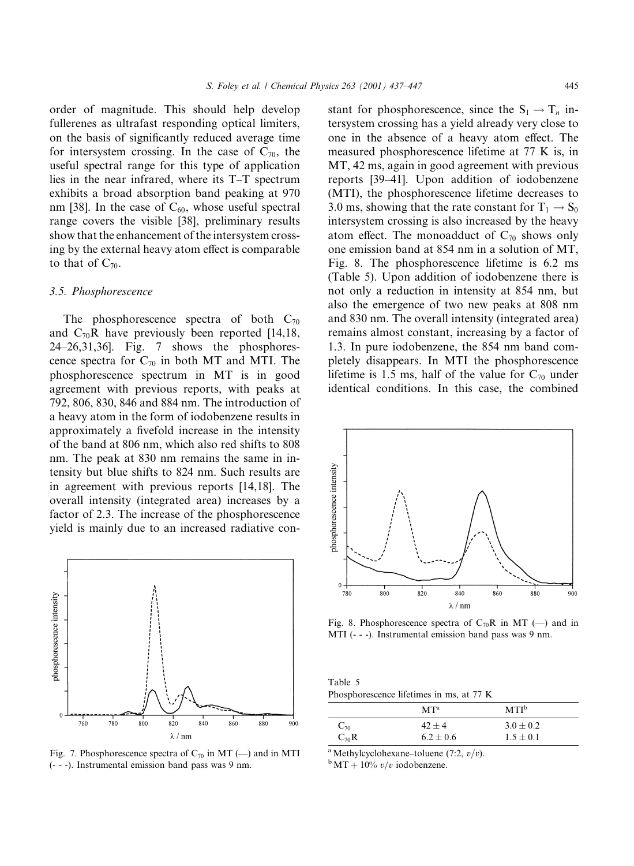order of magnitude. This should help develop fullerenes as ultrafast responding optical limiters, on the basis of significantly reduced average time for intersystem crossing. In the case of  $C_{70}$ , the useful spectral range for this type of application lies in the near infrared, where its  $T-T$  spectrum exhibits a broad absorption band peaking at 970 nm [38]. In the case of  $C_{60}$ , whose useful spectral range covers the visible [38], preliminary results show that the enhancement of the intersystem crossing by the external heavy atom effect is comparable to that of  $C_{70}$ .

## 3.5. Phosphorescence

The phosphorescence spectra of both  $C_{70}$ and  $C_{70}R$  have previously been reported [14,18, 24±26,31,36]. Fig. 7 shows the phosphorescence spectra for  $C_{70}$  in both MT and MTI. The phosphorescence spectrum in MT is in good agreement with previous reports, with peaks at 792, 806, 830, 846 and 884 nm. The introduction of a heavy atom in the form of iodobenzene results in approximately a fivefold increase in the intensity of the band at 806 nm, which also red shifts to 808 nm. The peak at 830 nm remains the same in intensity but blue shifts to 824 nm. Such results are in agreement with previous reports [14,18]. The overall intensity (integrated area) increases by a factor of 2.3. The increase of the phosphorescence yield is mainly due to an increased radiative con-



Fig. 7. Phosphorescence spectra of  $C_{70}$  in MT ( $-$ ) and in MTI (- - -). Instrumental emission band pass was 9 nm.

stant for phosphorescence, since the  $S_1 \rightarrow T_n$  intersystem crossing has a yield already very close to one in the absence of a heavy atom effect. The measured phosphorescence lifetime at 77 K is, in MT, 42 ms, again in good agreement with previous reports [39-41]. Upon addition of iodobenzene (MTI), the phosphorescence lifetime decreases to 3.0 ms, showing that the rate constant for  $T_1 \rightarrow S_0$ intersystem crossing is also increased by the heavy atom effect. The monoadduct of  $C_{70}$  shows only one emission band at 854 nm in a solution of MT, Fig. 8. The phosphorescence lifetime is 6.2 ms (Table 5). Upon addition of iodobenzene there is not only a reduction in intensity at 854 nm, but also the emergence of two new peaks at 808 nm and 830 nm. The overall intensity (integrated area) remains almost constant, increasing by a factor of 1.3. In pure iodobenzene, the 854 nm band completely disappears. In MTI the phosphorescence lifetime is 1.5 ms, half of the value for  $C_{70}$  under identical conditions. In this case, the combined



Fig. 8. Phosphorescence spectra of  $C_{70}R$  in MT (--) and in MTI (- - -). Instrumental emission band pass was 9 nm.

Table 5 Phosphorescence lifetimes in ms, at 77 K

|                   | MT <sup>a</sup> | MTI <sup>b</sup> |
|-------------------|-----------------|------------------|
| $\mathrm{C}_{70}$ | $42 + 4$        | $3.0 \pm 0.2$    |
| $C_{70}R$         | $6.2 \pm 0.6$   | $1.5 \pm 0.1$    |

<sup>a</sup> Methylcyclohexane-toluene (7:2,  $v/v$ ). bMT + 10%  $v/v$  iodobenzene.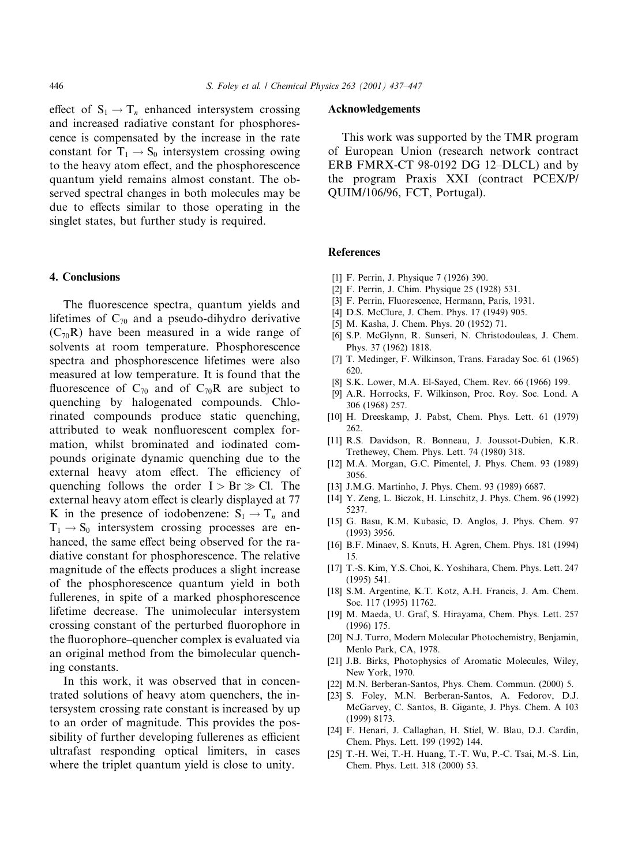effect of  $S_1 \rightarrow T_n$  enhanced intersystem crossing and increased radiative constant for phosphorescence is compensated by the increase in the rate constant for  $T_1 \rightarrow S_0$  intersystem crossing owing to the heavy atom effect, and the phosphorescence quantum yield remains almost constant. The observed spectral changes in both molecules may be due to effects similar to those operating in the singlet states, but further study is required.

#### 4. Conclusions

The fluorescence spectra, quantum yields and lifetimes of  $C_{70}$  and a pseudo-dihydro derivative  $(C_{70}R)$  have been measured in a wide range of solvents at room temperature. Phosphorescence spectra and phosphorescence lifetimes were also measured at low temperature. It is found that the fluorescence of  $C_{70}$  and of  $C_{70}R$  are subject to quenching by halogenated compounds. Chlorinated compounds produce static quenching, attributed to weak nonfluorescent complex formation, whilst brominated and iodinated compounds originate dynamic quenching due to the external heavy atom effect. The efficiency of quenching follows the order  $I > Br \gg Cl$ . The external heavy atom effect is clearly displayed at 77 K in the presence of iodobenzene:  $S_1 \rightarrow T_n$  and  $T_1 \rightarrow S_0$  intersystem crossing processes are enhanced, the same effect being observed for the radiative constant for phosphorescence. The relative magnitude of the effects produces a slight increase of the phosphorescence quantum yield in both fullerenes, in spite of a marked phosphorescence lifetime decrease. The unimolecular intersystem crossing constant of the perturbed fluorophore in the fluorophore-quencher complex is evaluated via an original method from the bimolecular quenching constants.

In this work, it was observed that in concentrated solutions of heavy atom quenchers, the intersystem crossing rate constant is increased by up to an order of magnitude. This provides the possibility of further developing fullerenes as efficient ultrafast responding optical limiters, in cases where the triplet quantum yield is close to unity.

#### Acknowledgements

This work was supported by the TMR program of European Union (research network contract ERB FMRX-CT 98-0192 DG 12-DLCL) and by the program Praxis XXI (contract PCEX/P/ QUIM/106/96, FCT, Portugal).

#### References

- [1] F. Perrin, J. Physique 7 (1926) 390.
- [2] F. Perrin, J. Chim. Physique 25 (1928) 531.
- [3] F. Perrin, Fluorescence, Hermann, Paris, 1931.
- [4] D.S. McClure, J. Chem. Phys. 17 (1949) 905.
- [5] M. Kasha, J. Chem. Phys. 20 (1952) 71.
- [6] S.P. McGlynn, R. Sunseri, N. Christodouleas, J. Chem. Phys. 37 (1962) 1818.
- [7] T. Medinger, F. Wilkinson, Trans. Faraday Soc. 61 (1965) 620.
- [8] S.K. Lower, M.A. El-Sayed, Chem. Rev. 66 (1966) 199.
- [9] A.R. Horrocks, F. Wilkinson, Proc. Roy. Soc. Lond. A 306 (1968) 257.
- [10] H. Dreeskamp, J. Pabst, Chem. Phys. Lett. 61 (1979) 262.
- [11] R.S. Davidson, R. Bonneau, J. Joussot-Dubien, K.R. Trethewey, Chem. Phys. Lett. 74 (1980) 318.
- [12] M.A. Morgan, G.C. Pimentel, J. Phys. Chem. 93 (1989) 3056.
- [13] J.M.G. Martinho, J. Phys. Chem. 93 (1989) 6687.
- [14] Y. Zeng, L. Biczok, H. Linschitz, J. Phys. Chem. 96 (1992) 5237.
- [15] G. Basu, K.M. Kubasic, D. Anglos, J. Phys. Chem. 97 (1993) 3956.
- [16] B.F. Minaev, S. Knuts, H. Agren, Chem. Phys. 181 (1994) 15.
- [17] T.-S. Kim, Y.S. Choi, K. Yoshihara, Chem. Phys. Lett. 247 (1995) 541.
- [18] S.M. Argentine, K.T. Kotz, A.H. Francis, J. Am. Chem. Soc. 117 (1995) 11762.
- [19] M. Maeda, U. Graf, S. Hirayama, Chem. Phys. Lett. 257 (1996) 175.
- [20] N.J. Turro, Modern Molecular Photochemistry, Benjamin, Menlo Park, CA, 1978.
- [21] J.B. Birks, Photophysics of Aromatic Molecules, Wiley, New York, 1970.
- [22] M.N. Berberan-Santos, Phys. Chem. Commun. (2000) 5.
- [23] S. Foley, M.N. Berberan-Santos, A. Fedorov, D.J. McGarvey, C. Santos, B. Gigante, J. Phys. Chem. A 103 (1999) 8173.
- [24] F. Henari, J. Callaghan, H. Stiel, W. Blau, D.J. Cardin, Chem. Phys. Lett. 199 (1992) 144.
- [25] T.-H. Wei, T.-H. Huang, T.-T. Wu, P.-C. Tsai, M.-S. Lin, Chem. Phys. Lett. 318 (2000) 53.